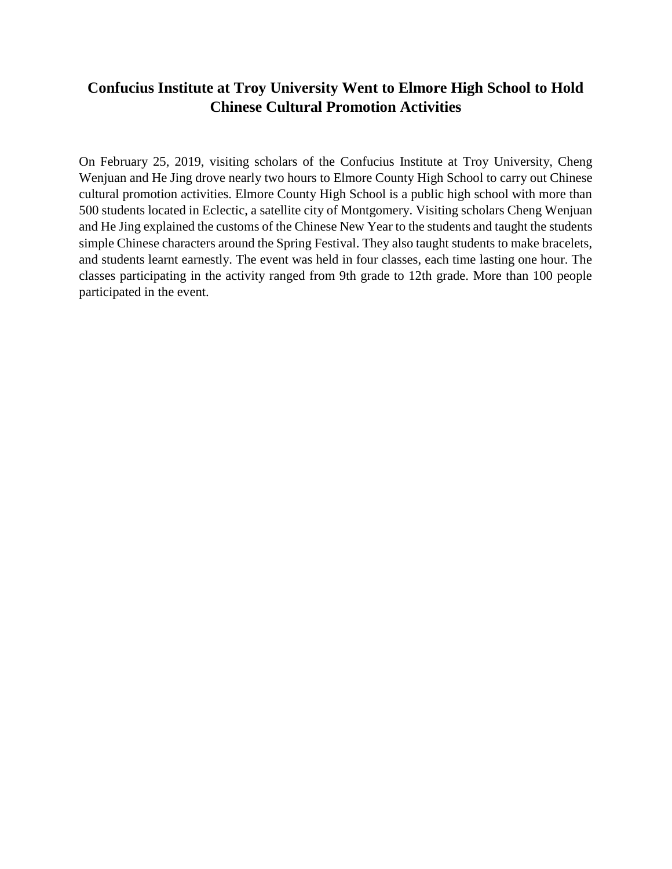## **Confucius Institute at Troy University Went to Elmore High School to Hold Chinese Cultural Promotion Activities**

On February 25, 2019, visiting scholars of the Confucius Institute at Troy University, Cheng Wenjuan and He Jing drove nearly two hours to Elmore County High School to carry out Chinese cultural promotion activities. Elmore County High School is a public high school with more than 500 students located in Eclectic, a satellite city of Montgomery. Visiting scholars Cheng Wenjuan and He Jing explained the customs of the Chinese New Year to the students and taught the students simple Chinese characters around the Spring Festival. They also taught students to make bracelets, and students learnt earnestly. The event was held in four classes, each time lasting one hour. The classes participating in the activity ranged from 9th grade to 12th grade. More than 100 people participated in the event.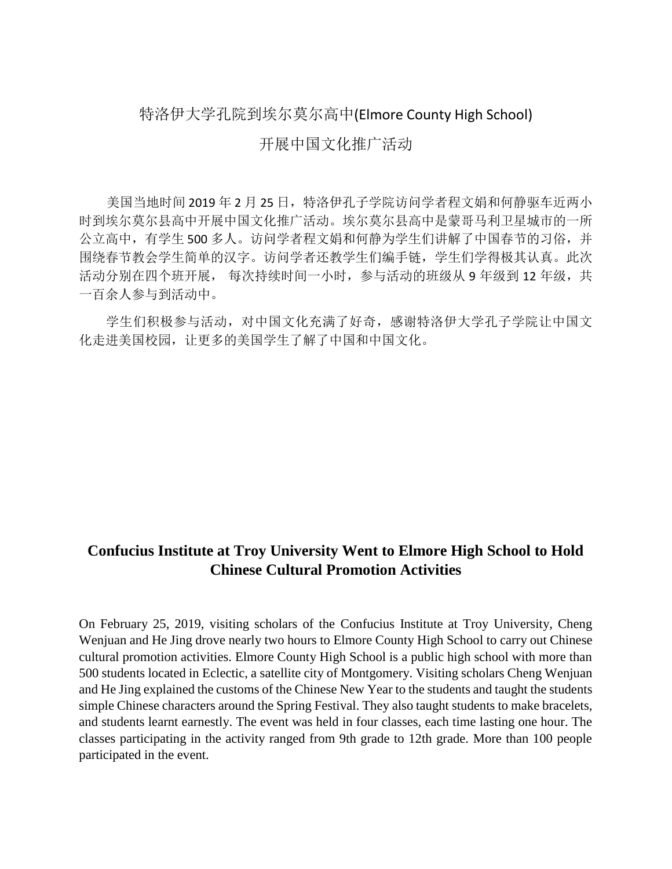## 特洛伊大学孔院到埃尔莫尔高中(Elmore County High School)

## 开展中国文化推广活动

美国当地时间 2019年2月 25日,特洛伊孔子学院访问学者程文娟和何静驱车近两小 时到埃尔莫尔县高中开展中国文化推广活动。埃尔莫尔县高中是蒙哥马利卫星城市的一所 公立高中,有学生 500 多人。访问学者程文娟和何静为学生们讲解了中国春节的习俗,并 围绕春节教会学生简单的汉字。访问学者还教学生们编手链,学生们学得极其认真。此次 活动分别在四个班开展, 每次持续时间一小时, 参与活动的班级从 9 年级到 12 年级, 共 一百余人参与到活动中。

 学生们积极参与活动,对中国文化充满了好奇,感谢特洛伊大学孔子学院让中国文 化走进美国校园,让更多的美国学生了解了中国和中国文化。

## **Confucius Institute at Troy University Went to Elmore High School to Hold Chinese Cultural Promotion Activities**

On February 25, 2019, visiting scholars of the Confucius Institute at Troy University, Cheng Wenjuan and He Jing drove nearly two hours to Elmore County High School to carry out Chinese cultural promotion activities. Elmore County High School is a public high school with more than 500 students located in Eclectic, a satellite city of Montgomery. Visiting scholars Cheng Wenjuan and He Jing explained the customs of the Chinese New Year to the students and taught the students simple Chinese characters around the Spring Festival. They also taught students to make bracelets, and students learnt earnestly. The event was held in four classes, each time lasting one hour. The classes participating in the activity ranged from 9th grade to 12th grade. More than 100 people participated in the event.